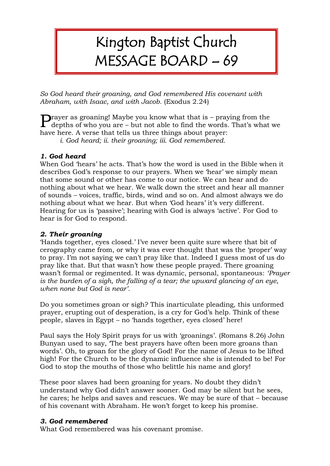## Kington Baptist Church MESSAGE BOARD – 69

*So God heard their groaning, and God remembered His covenant with Abraham, with Isaac, and with Jacob.* (Exodus 2.24)

**P**rayer as groaning! Maybe you know what that is – praying from the depths of who you are – but not able to find the words. That's what depths of who you are – but not able to find the words. That's what we have here. A verse that tells us three things about prayer:

*i. God heard; ii. their groaning; iii. God remembered.*

## *1. God heard*

When God 'hears' he acts. That's how the word is used in the Bible when it describes God's response to our prayers. When we 'hear' we simply mean that some sound or other has come to our notice. We can hear and do nothing about what we hear. We walk down the street and hear all manner of sounds – voices, traffic, birds, wind and so on. And almost always we do nothing about what we hear. But when 'God hears' it's very different. Hearing for us is 'passive'; hearing with God is always 'active'. For God to hear is for God to respond.

## *2. Their groaning*

'Hands together, eyes closed.' I've never been quite sure where that bit of cerography came from, or why it was ever thought that was the 'proper' way to pray. I'm not saying we can't pray like that. Indeed I guess most of us do pray like that. But that wasn't how these people prayed. There groaning wasn't formal or regimented. It was dynamic, personal, spontaneous: *'Prayer is the burden of a sigh, the falling of a tear; the upward glancing of an eye, when none but God is near'.*

Do you sometimes groan or sigh? This inarticulate pleading, this unformed prayer, erupting out of desperation, is a cry for God's help. Think of these people, slaves in Egypt – no 'hands together, eyes closed' here!

Paul says the Holy Spirit prays for us with 'groanings'. (Romans 8.26) John Bunyan used to say, 'The best prayers have often been more groans than words'. Oh, to groan for the glory of God! For the name of Jesus to be lifted high! For the Church to be the dynamic influence she is intended to be! For God to stop the mouths of those who belittle his name and glory!

These poor slaves had been groaning for years. No doubt they didn't understand why God didn't answer sooner. God may be silent but he sees, he cares; he helps and saves and rescues. We may be sure of that – because of his covenant with Abraham. He won't forget to keep his promise.

## *3. God remembered*

What God remembered was his covenant promise.